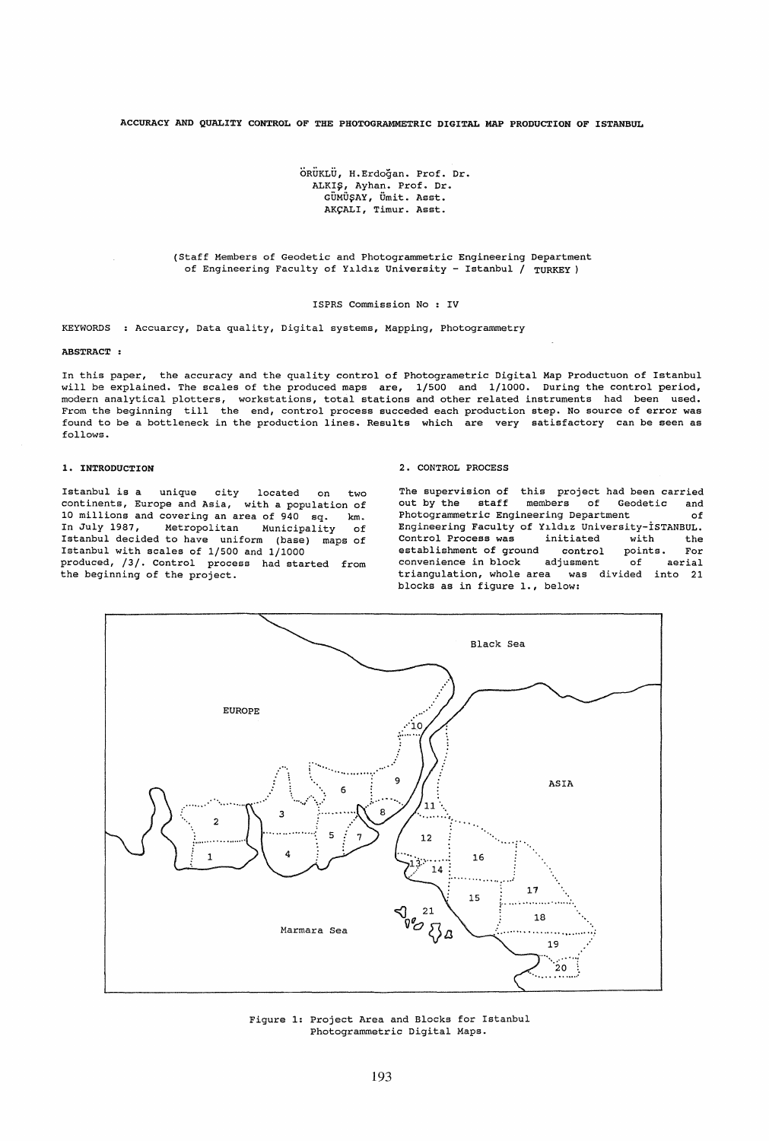ACCURACY AND QUALITY CONTROL OF THE PHOTOGRAMMETRIC DIGITAL MAP PRODUCTION OF ISTANBUL

ÖRÜKLÜ, H.Erdoğan. Prof. Dr. ALKIŞ, Ayhan. Prof. Dr. GÜMÜŞAY, Ümit. Asst. AKCALI, Timur. Asst.

(Staff Members of Geodetic and Photogrammetric Engineering Department of Engineering Faculty of Yıldız University - Istanbul / TURKEY)

ISPRS Commission No : IV

KEYWORDS Accuarcy, Data quality, Digital systems, Mapping, Photogrammetry

## ABSTRACT :

In this paper, the accuracy and the quality control of Photogrametric Digital Map Productuon of Istanbul will be explained. The scales of the produced maps are, 1/500 and 1/1000. During the control period, modern analytical plotters, workstations, total stations and other related instruments had been used. From the beginning till the end, control process succeded each production step. No source of error was found to be a bottleneck in the production lines. Results which are very satisfactory can be seen as follows.

## 1. INTRODUCTION

Istanbul is a unique city located on two continents, Europe and Asia, with a population of 10 millions and covering an area of 940 sq. km. In July 1987, Metropolitan Municipality of Istanbul decided to have uniform (base) maps of Istanbul with scales of 1/500 and 1/1000 produced, /3/. Control process had started from the beginning of the project.

### 2. CONTROL PROCESS

The supervision of this project had been carried<br>out by the staff members of Geodetic and members of Geodetic Photogrammetric Engineering Department of Engineering Faculty of Yl.ldl.z University-isTANBUL. Control Process was initiated with the establishment of ground control points. For<br>convenience in block adjusment of aerial convenience in block adjusment of aerial<br>triangulation, whole area was divided into 21 triangulation, whole area blocks as in figure 1., below:



Figure 1: Project Area and Blocks for Istanbul Photogrammetric Digital Maps.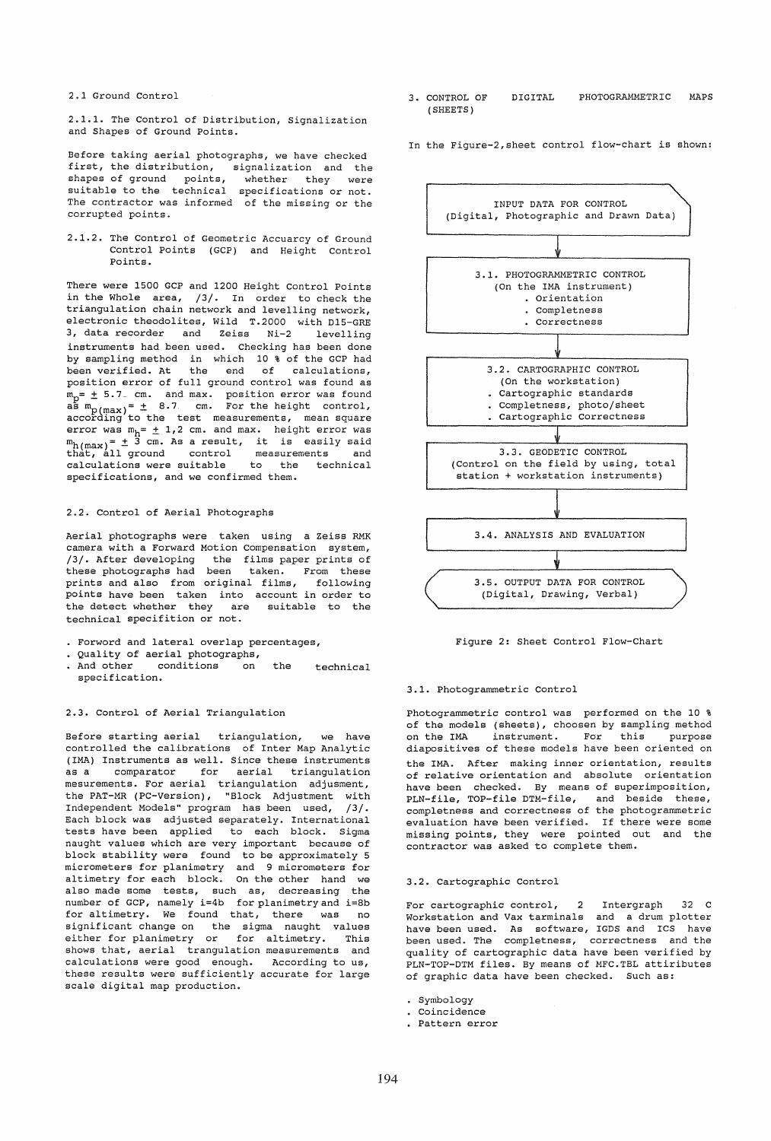2.1 Ground Control

2.1.1. The Control of Distribution, Signalization and Shapes of Ground Points.

Before taking aerial photographs, we have checked first, the distribution, signalization and the shapes of ground points, whether they were shapes of ground points, whether they were<br>suitable to the technical specifications or not. The contractor was informed of the missing or the corrupted points.

2.1.2. The Control of Geometric Accuarcy of Ground Control Points (GCP) and Height Control Points.

There were 1500 GCP and 1200 Height Control Points in the Whole area, /3/. In order to check the triangulation chain network and levelling network, electronic theodolites, Wild T.2000 with D1S-GRE 3, data recorder and Zeiss Ni-2 levelling instruments had been used. Checking has been done by sampling method in which 10 % of the GCP had been verified. At the end of calculations, position error of full ground control was found as -<br>m<sub>p</sub>= ± 5.7<sub>~</sub> cm. and max. position error was found  $\frac{a}{m}$   $\frac{m}{m}$  =  $\pm$  8.7 cm. For the height control,<br>according to the test measurements, mean square error was  $m_h = \pm 1, 2$  cm. and max. height error was  $m_{h(max)} = \pm 3$  cm. As a result, it is easily said that, all ground control measurements and calculations were suitable to the technical specifications, and we confirmed them.

## 2.2. Control of Aerial Photographs

Aerial photographs were taken using a Zeiss RMK camera with a Forward Motion Compensation system, /3/. After developing the films paper prints of these photographs had been taken. From these prints and also from original films, following points have been taken into account in order to .<br>the detect whether they are suitable to the technical specifition or not.

- Forword and lateral overlap percentages,
- . Quality of aerial photographs,<br>. And other conditions on
- conditions on the technical specification.

# 2.3. Control of Aerial Triangulation

Before starting aerial triangulation, we have controlled the calibrations of Inter Map Analytic (IMA) Instruments as well. Since these instruments<br>as a comparator for aerial triangulation as a comparator for aerial triangulation mesurements. For aerial triangulation adjusment, the PAT-MR (PC-Version), "Block Adjustment with Independent Models" program has been used, /3/. Each block was adjusted separately. International tests have been applied to each block. Sigma naught values which are very important because of block stability were found to be approximately 5 micrometers for planimetry and 9 micrometers for altimetry for each block. On the other hand we also made some tests, such as, decreasing the number of  $GCP$ , namely  $i=4b$  for planimetry and  $i=8b$ for altimetry. We found that, there was no significant change on the sigma naught values either for planimetry or for altimetry. This shows that, aerial trangulation measurements and calculations were good enough. According to us, these results were sufficiently accurate for large scale digital map production.

- 3. CONTROL OF (SHEETS) DIGITAL PHOTOGRAMMETRIC MAPS
- In the Figure-2,sheet control flow-chart is shown:



Figure 2: Sheet Control Flow-Chart

### 3.1. Photogrammetric Control

Photogrammetric control was performed on the 10 % of the models (sheets), choosen by sampling method<br>on the IMA instrument. For this purpose instrument. For this purpose diapositives of these models have been oriented on the IMA. After making inner orientation, results of relative orientation and absolute orientation have been checked. By means of superimposition, PLN-file, TOP-file DTM-file, and beside these, completness and correctness of the photogrammetric evaluation have been verified. If there were some missing points, they were pointed out and the contractor was asked to complete them.

### 3.2. Cartographic Control

For cartographic control, 2 Intergraph 32 C Workstation and Vax tarminals and a drum plotter have been used. As software, IGDS and ICS have been used. The completness, correctness and the quality of cartographic data have been verified by PLN-TOP-DTM files. By means of MFC.TBL attiributes of graphic data have been checked. Such as:

- Symbology
- Coincidence
- Pattern error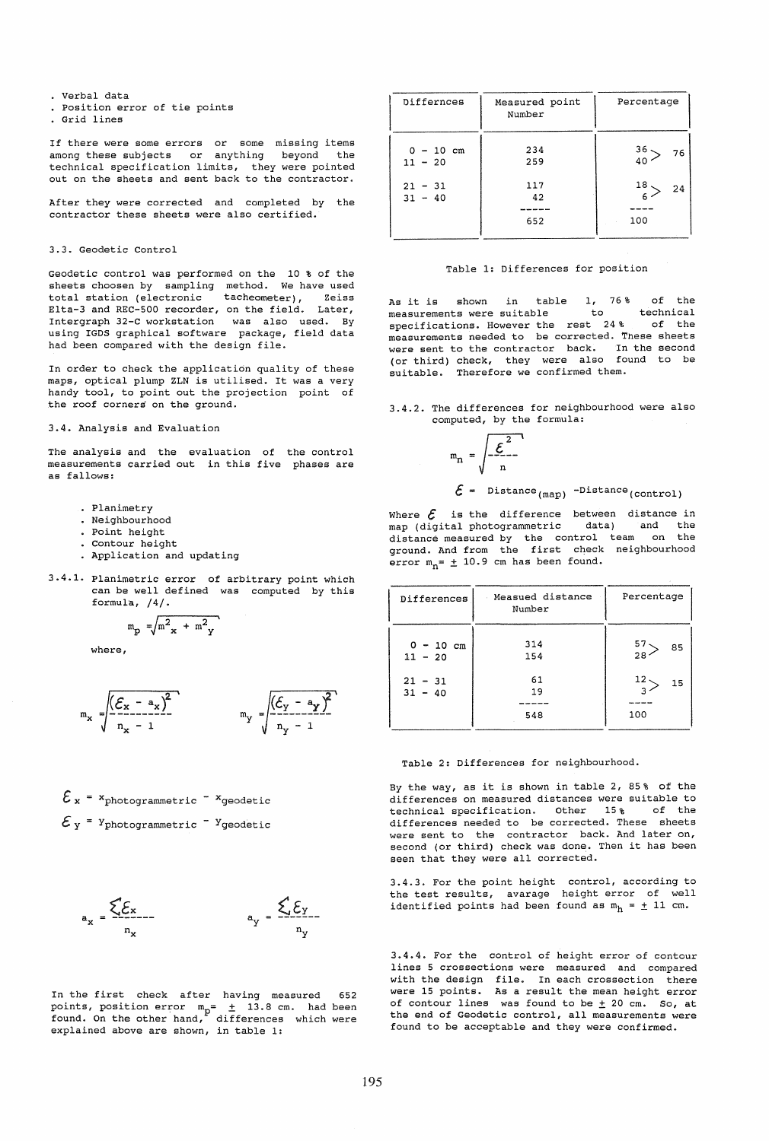- Verbal data
- position error of tie points
- Grid lines

If there were some errors or some missing items<br>among these subjects or anything beyond the among these subjects or anything beyond technical specification limits, they were pointed out on the sheets and sent back to the contractor.

After they were corrected and completed by the contractor these sheets were also certified.

### 3.3. Geodetic Control

Geodetic control was performed on the 10 % of the sheets choosen by sampling method. We have used total station (electronic tacheometer), Zeiss Elta-3 and REC-500 recorder, on the field. Later, Intergraph 32-C workstation was also used. By using IGD5 graphical software package, field data had been compared with the design file.

In order to check the application quality of these maps, optical plump ZLN is utilised. It was a very handy tool, to point out the projection point of the roof corners on the ground.

# 3.4. Analysis and Evaluation

The analysis and the evaluation of the control measurements carried out in this five phases are as fallows:

- Planimetry
- Neighbourhood
- Point height
- Contour height
- Application and updating
- 3.4.1. Planimetric error of arbitrary point which can be well defined was computed by this formul'a, /4/.

$$
m_p = \sqrt{m^2_{\mathbf{x}} + m^2_{\mathbf{y}}}
$$

where,

$$
m_x = \frac{\sqrt{(\mathcal{E}_x - a_x)^2}}{n_x - 1} \qquad m_y = \frac{\sqrt{(\mathcal{E}_y - a_y)^2}}{n_y - 1}
$$

$$
\mathcal{E}_{x} = x_{photogrammetric} - x_{geodetic}
$$
  

$$
\mathcal{E}_{y} = x_{photogrammetric} - x_{geodetic}
$$

$$
a_x = \frac{\sum E_x}{n_x} = \frac{\sum E_y}{n_y}
$$

In the first check after having measured 652 points, position error  $m_n = \pm 13.8$  cm. had been found. On the other hand, differences which were explained above are shown, in table 1:

| Differnces               | Measured point<br>Number | Percentage      |
|--------------------------|--------------------------|-----------------|
| $0 - 10$ cm<br>$11 - 20$ | 234<br>259               | 36.<br>76<br>40 |
| $21 - 31$<br>$31 - 40$   | 117<br>42                | 18<br>24<br>6.  |
|                          | 652                      | 100             |

## Table 1: Differences for position

As it is shown in table 1, 76% of the<br>measurements were suitable to technical measurements were suitable to technical<br>specifications. However the rest 24% of the specifications. However the rest 24% measurements needed to be corrected. Tnese sheets were sent to the contractor back. In the (or third) check, they were also found suitable. Therefore we confirmed them. second to be

## 3.4.2. The differences for neighbourhood were also computed, by the formula:

$$
m_n = \sqrt{\frac{\mathcal{E}^2}{n}}
$$

 $\mathcal{E}$  = Distance<sub>(map)</sub> -Distance<sub>(control)</sub>

Where  $\mathcal E$  is the difference between distance in map (digital photogrammetric data) and the map (digital photogrammetric distance measured by the control team on the ground. And from the first check neighbourhood error  $m_n = \pm 10.9$  cm has been found.

| Differences              | Measued distance<br>Number | Percentage             |
|--------------------------|----------------------------|------------------------|
| $0 - 10$ cm<br>$11 - 20$ | 314<br>154                 | $57 -$<br>85<br>$28 -$ |
| $21 - 31$<br>$31 - 40$   | 61<br>19<br>548            | $12 -$<br>15<br>100    |

Table 2: Differences for neighbourhood.

By the way, as it is shown in table 2, 85% of the differences on measured distances were suitable to technical specification. Other 15% of the differences needed to be corrected. These sheets were sent to the contractor back. And later on, second (or third) check was done. Then it has been seen that they were all corrected.

3.4.3. For the point height control, according to the test results, avarage height error of well identified points had been found as  $m_h = \pm 11$  cm.

3.4.4. For the control of height error of contour lines 5 crossections were measured and compared with the design file. In each crossection there were 15 points. As a result the mean height error of contour lines was found to be  $\pm$  20 cm. So, at the end of Geodetic control, all measurements were found to be acceptable and they were confirmed.